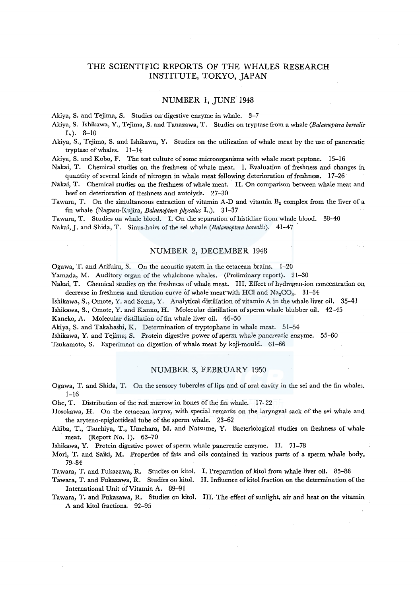# THE SCIENTIFIC REPORTS OF THE WHALES RESEARCH INSTITUTE, TOKYO, JAPAN

# NUMBER 1, JUNE 1948

Akiya, S. and Tejima, S. Studies on-digestive enzyme in whale. 3-7

Akiya, S. Ishikawa, Y., Tejima, S. and Tanazawa, T. Studies on tryptase from a whale *(Balaenoptera borealis*  L.). 8-10

Akiya, S., Tejima, S. and Ishikawa, Y, Studies on the utilization of whale meat by the use of pancreatic tryptase of whales. 11-14

Akiya, S. and Kobo, F. The test culture of some microorganisms with whale meat peptone. 15-16

Nakai, T. Chemical studies on the freshness of whale meat. I. Evaluation of freshness and changes in quantity of several kinds of nitrogen in whale meat following deterioration of freshness. 17–26

Nakai, T. Chemical studies on the freshness of whale meat. II. On comparison between whale meat and beef on deterioration of freshness and autolysis. 27-30

Tawara, T. On the simultaneous extraction of vitamin A-D and vitamin  $B_2$  complex from the liver of a fin whale (Nagasu-Kujira, *Balaenoptera physalus* L.). 31-37

Tawara, T. Studies on whale blood. I. On the separation of histidine from whale blood. 38-40 Nakai, J. and Shida, T. Sinus-hairs of the sei whale *(Balaenoptera borealis)*. <sup>41-47</sup>

### NUMBER 2, DECEMBER 1948

Ogawa, T. and Arifuku, S. On the acoustic system in the cetacean brains. 1-20 Yamada, M. Auditory organ of the whalebone whales. (Preliminary report). 21-30 Nakai, T. Chemical studies on the freshness of whale meat. Ill. Effect of hydrogen-ion concentration on

decrease in freshness and titration curve of whale meat with HCl and  $\text{Na}_2\text{CO}_3$ . 31-34 Ishikawa, S., Omote, Y. and Soma, Y. Analytical distillation of vitamin A in the whale liver oil. 35-41

Ishikawa, S., Omote, Y. and Kanno, H. Molecular distillation of sperm whale blubber oil. 42-45 Kaneko, A. Molecular distillation of fin whale liver oil. 46-50

Akiya, S. and Takahashi, K. Determination of tryptophane in whale meat. 51-54

Ishikawa, Y. and Tejima; S. Protein digestive power of sperm whale pancreatic enzyme. 55-60 Tsukamoto, S. Experiment on digestion of whale meat by koji-mould. 61-66

# NUMBER 3, FEBRUARY 1950

Ogawa, T. and Shida, T. On the sensory tubercles of lips and of oral cavity in the sei and the fin whales. 1-16

Ohe, T. Distribution of the red marrow in bones of the fin whale. 17-22

Hosokawa, H. On the cetacean larynx, with special remarks on the laryngeal sack of the sei whale and the aryteno-epiglottideal tube of the sperm whale. 23-62

Akiba, T., Tsuchiya, T., Umehara, M. and Natsume, Y. Bacteriological studies on freshness of whale meat. (Report No. 1). 63-70

Ishikawa, Y. Protein digestive power of sperm whale pancreatic enzyme. II. 71-78

Mori, T. and Saiki, M. Properties of fats and oils contained in various parts of a sperm whale body\_ 79-84

Tawara, T. and Fukazawa, R. Studies on kitol. I. Preparation ofkitol from whale liver oil. 85-88

Tawara, T. and Fukazawa, R. Studies on kitol. II. Influence of kitol fraction on the determination of the International Unit of Vitamin A. 89-91

Tawara, T. and Fukazawa, R. Studies on kitol. III. The effect of sunlight, air and heat on the vitamin A and kitol fractions. 92-95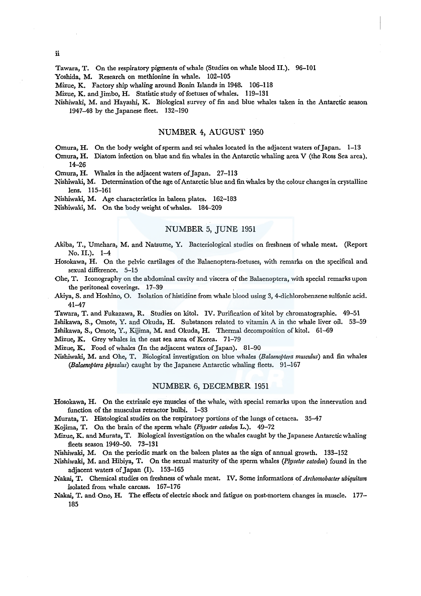Tawara, T. On the respiratory pigments of whale (Studies on whale blood II.). 96-101

Yoshida, M. Research on methionine in whale. 102-105

Mizue, K. Factory ship whaling around Bonin Islands in 1948. 106-118

Mizue, K. and Jimbo, H. Statistic study of foetuses of whales. 119-131

Nishiwaki, M. and Hayashi, K. Biological survey of fin and blue whales taken in the Antarctic season 1947-48 by the Japanese fleet. 132-190

# NUMBER 4, AUGUST 1950

Omura, H. On the body weight of sperm and sei whales located in the adjacent waters of Japan. 1-13

Omura, H. Diatom infection on blue and fin whales in the Antarctic whaling area V (the Ross Sea area). 14-26

Omura, H. Whales in the adjacent waters of Japan. 27-113

Nishiwaki, M. Determination of the age of Antarctic blue and fin whales by the colour changes in crystalline lens. 115-161

Nishiwaki, M. Age characteristics in baleen plates. 162-183

Nishiwaki, M. On the body weight of whales. 184-209

# NUMBER 5, JUNE 1951

- Akiba, T., Umehara, M. and Natsume, Y. Bacteriological studies on freshness of whale meat. (Report No. II.). 1-4
- Hosokawa, H. On the pelvic cartilages of the Balaenoptera-foetuses, with remarks on the specifical and sexual difference. 5-15
- Ohe, T. Iconography on the abdominal cavity and viscera of the Balaenoptera, with special remarks upon the peritoneal coverings. 17-39
- Akiya, S. and Hoshino, O. Isolation of histidine from whale blood using 3, 4-dichlorobenzene sulfonic acid. 41-47

Tawara, T. and Fukazawa, R. Studies on kitol. IV. Purification of kitol by chromatographie. 49-51 Ishikawa, S., Omote, Y. and Okuda, H. Substances related to vitamin A in the whale liver oil. 53-59

Ishikawa, S., Omote, Y., Kijima, M. and Okuda, H. Thermal decomposition of kitol. 61-69

Mizue, K. Grey whales in the east sea area of Korea. 71-79

Mizue, K. Food of whales (In the adjacent waters of Japan). 81-90

Nishiwaki, M. and Ohe, T. Biological investigation on blue whales *(Balaenoptera musculus)* and fin whales *(Balaenoptera physalus)* caught by the Japanese Antarctic whaling fleets. 91-167

#### NUMBER 6, DECEMBER 1951

Hosokawa, H. On the extrinsic eye muscles of the whale, with special remarks upon the innervation and function of the musculus retractor bulbi. 1-33

Murata, T. Histological studies on the respiratory portions of the lungs of cetacea. 35-47

Kojima, T. On the brain of the sperm whale *(Physeter catodon* L.). 49-72

Mizue, K. and Murata, T. Biological investigation on the whales caught by the Japanese Antarctic whaling fleets season 1949-50. 73-131

Nishiwaki, M. On the periodic mark on the baleen plates as the sign of annual growth. 133-152

Nishiwaki, M. and Hibiya, T. On the sexual maturity of the sperm whales *(Physeter catodon)* found in the adjacent waters of Japan (I). 153-165

Nakai, T. Chemical studies on freshness of whale meat. IV. Some informations of *Archomobacter ubiquitum*  isolated from whale carcass. 167-176

Nakai, T. and-Ono, H. The effects of electric shock and fatigue on post-mortem changes in muscle. 177- 185

ii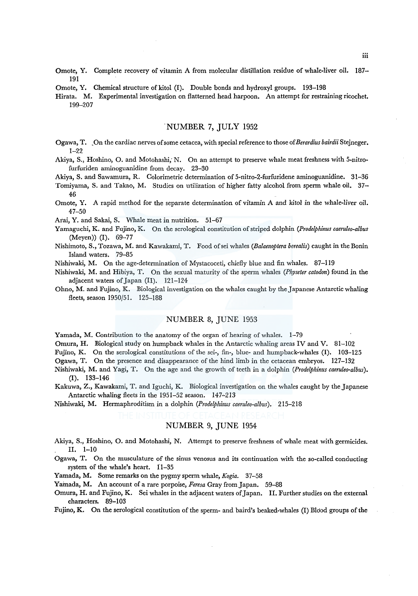- Omote, Y. Complete recovery of vitamin A from molecular distillation residue of whale-liver oil. 187- 191
- Omote, Y. Chemical structure of kitol (I). Double bonds and hydroxyl groups. 193-198
- Hirata. M. Experimental investigation on flatterned head harpoon. An attempt for restraining ricochet. 199-207

## "NUMBER 7, JULY 1952

- Ogawa, T. .On the cardiac nerves of some cetacea, with special reference to those *ofBerardius bairdii* Stejneger. 1-22
- Akiya, S., Hoshino, 0. and Motohashi; N. On an attempt to preserve whale meat freshness with 5-nitrofurfuriden aminoguanidine from decay. 23-30

Akiya, S. and Sawamura, R. Colorimetric determination of 5-nitro-2-furfuridene aminoguanidine. 31-36

- Tomiyama, S. and Takao, M. Studies on utilization of higher fatty alcohol from sperm whale oil. 37- 46
- Omote, Y. A rapid method for the separate determination of vitamin A and kitol in the whale-liver oil. 47-50
- Arai, Y. and Sakai, S. Whale meat in nutrition. 51-67
- Yamaguchi, K. and Fujino, K. On the serological constitution of striped dolphin *(Prodelphinus caeruleo-albus*  (Meyen)) (I). 69-77
- Nishimoto, S., Tozawa, M. and Kawakami, T. Food ofsei whales *(Balaenoptera borealis)* caught in the Bonin Island waters. 79-85
- Nishiwaki, M. On the age-determination of Mystacoceti, chiefly blue and fin whales. 87-119
- Nishiwaki, M. and Hibiya, T. On the sexual maturity of the sperm whales *(Physeter catodon)* found in the adjacent waters of Japan (II). 121-124
- Ohno, M. and Fujino, K. Biological investigation on the whales caught by the Japanese Antarctic whaling fleets, season 1950/51. 125-188

# NUMBER 8, JUNE 1953

Yamada, M. Contribution to the anatomy of the organ of hearing of whales. 1-79

Omura, H. Biological study on humpback whales in the Antarctic whaling areas IV and V. 81-102

Fujino, K. On the serological constitutions of the sei-, fin-, blue- and humpback-whales (I). 103-125

Ogawa, T. On the presence and disappearance of the hind limb in the cetacean embryos. 127-132

- Nishiwaki, M. and Yagi, T. On the age and the growth of teeth in a dolphin *(Prodelphinus caeruleo-albus).*  (I). 133-146
- Kakuwa, Z., Kawakami, T. and Iguchi, K. Biological investigation on the whales caught by the Japanese Antarctic whaling fleets in the 1951-52 season. 147~213

Nishiwaki, M. Hermaphroditism in a dolphin *(Prodelphinus caeruleo-albus).* 215-218

# NUMBER 9, JUNE 1954

Akiya, S., Hoshino, 0. and Motohashi, N. Attempt to preserve freshness of whale meat with germicides. II. 1-10

- Ogawa, T. On the musculature of the sinus venosus and its continuation with the so-called conducting system of the whale's heart. 11-35
- Yamada, M. Some remarks on the pygmy sperm whale, *Kogia.* 37-58

Yainada, M. An account of a rare porpoise, *Feresa* Gray from Japan. 59-88

Omura, H. and Fujino, K. Sei whales in the adjacent waters of Japan. II. Further studies on the external characters. 89-103

Fujino, K. On the serological constitution of the sperm- and baird's beaked-whales (I) Blood groups of the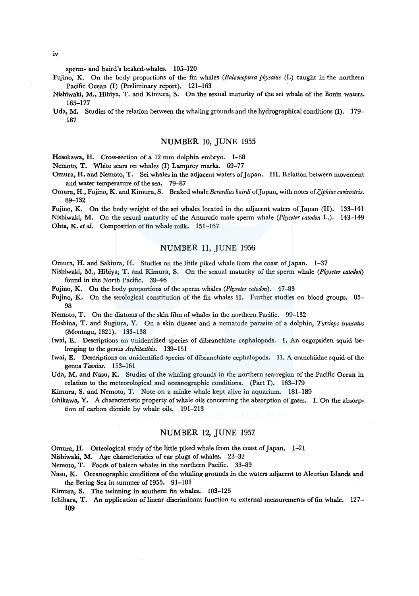sperm- and baird's beaked-whales. 105-120

- Fujino, K. On the body proportions of the fin whales *(Balaenoptera physalus* (L) caught in the northern Pacific Ocean (I) (Preliminary report). 121-163
- Nishiwaki, M., Hibiya, T. and Kimura, S. On the sexual maturity of the sei whale of the Bonin waters. 165-177
- Uda, M. Studies of the relation between the whaling grounds and the hydrographical conditions (I). 179– 187

#### NUMBER 10, JUNE 1955

Hosokawa, H. Cross-section of a 12 mm dolphin embryo. 1-68

Nemoto, T. White scars on whales (I) Lamprey marks. 69-77

- Omura, H. and Nemoto, T. Sei whales in the adjacent waters of Japan. III. Relation between movement and water temperature of the sea. 79-87
- Omura, H., Fujino, K. and Kimura, S. Beaked whale Berardius bairdi of Japan, with notes of Ziphius cavirostris. 89-132

Fujino, K. On the body weight of the sei whales located in the adjacent waters of Japan (II). 133-141 Nishiwaki, M. On the sexual maturity of *the* Antarctic male sperm whale *(Physeter catodon* L.). 143-149 Ohta, K. et al. Composition of fin whale milk. 151-167

# NUMBER 11, JUNE 1956

Omura, H. and Sakiura, H. Studies on *the* little piked whale from the coast of Japan. 1-37

- Nishiwaki, M., Hibiya; T. and Kimura, S. On the sexual maturity of the sperm whale *(Physeter catodon)* found in *the* North Pacific. 39-46
- Fujino, K. On the body proportions of the sperm whales *(Physeter catodon).* 47-83
- Fujino, K. On the serological constitution of the fin whales II. Further studies on blood groups. 85- 98

Nemoto, T. On the diatoms of the skin film of whales in the northern Pacific. 99-132

- Hoshina, T. and Sugiura, Y. On a skin disease and a nematode parasite of a dolphin, *Tursiops truncatus* ~Montagu, 1821). 133-138
- Iwai, E. Descriptions on unidentified species of dibranchiate cephalopods. I. An oegopsiden squid belonging to the genus *Architeuihis.* 139-151
- Iwai, E. Descriptions on unidentified species of dibranchiate cephalopods. II. A cranchiidae squid of the genus *Taonius.* 153-161
- Uda, M. and Nasu, K. Studies of the whaling grounds in the northern sea-region of the Pacific Ocean in relation to the meteorological and oceanographic conditions. (Part I). 163-179

Kimura, S. and Nemoto, T. Note on a minke whale kept alive in aquarium. 181-189

Ishikawa, Y. A characteristic property of whale oils concerning the absorption of gases. I. On the absorption of carbon dioxide by whale oils. 191-213

# NUMBER 12, JUNE 1957

Omura, H. Osteological study of the little piked whale from the coast of Japan. 1-21

Nishiwaki, M. Age characteristics of ear plugs of whales. 23-32

Nemoto, T. Foods of baleen whales in the northern Pacific. 33-89

- Nasu, K. Oceanographic conditions of the whaling grounds in the waters adjacent to Aleutian Islands and the Bering Sea in summer of 1955. 91-101
- Kimura, S. The twinning in southern fin whales. 103-125
- Ichihara, T. An application of linear discriminant function to external measurements of fin whale. 127-189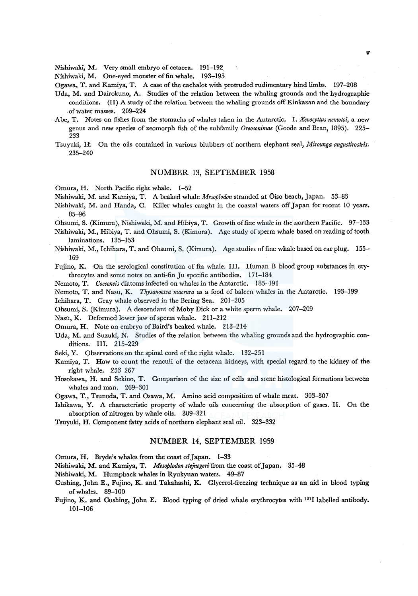Nishiwaki, M. Very small embryo of cetacea. 191-192.

Nishiwaki, M. One-eyed monster of fin whale. 193-195

Ogawa, T. and Kamiya, T. A case of the cachalot with protruded rudimentary hind limbs. 197-208

- Uda, M. and Dairokuno, A. Studies of the relation between the whaling grounds and the hydrographic conditions. (II) A study of the relation between the whaling grounds off Kinkazan and the boundary .of water masses. 209-224
- .Abe, T. Notes on fishes from the stomachs of whales taken in the Antarctic. I. *Xerwcyttus nemotoi,* a new genus and new species of zeomorph fish of the subfamily *Oreosonimae* (Goode and Bean, 1895). 225- 233
- Tsuyuki, H. On the oils contained in various blubbers of northern elephant seal, *Mirounga angustirostris.*  235-240

#### NUMBER 13, SEPTEMBER 1958

Omura, H. North Pacific right whale. 1-52

Nishiwaki, M. and Kamiya, T. A beaked whale *Mesoplodon* stranded at Oiso beach, Japan. 53-83

- Nishiwaki, M. and Randa, C. Killer whales caught in the coastal waters off Japan for recent 10 years. 85-96
- Ohsumi, S. (Kimura), Nishiwaki, M. and Hibiya, T. Growth of fine whale in the northern Pacific. 97-133
- Nishiwaki, M., Hibiya, T. and Ohsumi, S. (Kimura). Age study of sperm whale based on reading of tooth laminations. 135-153
- Nishiwaki, M., Ichihara, T. and Ohsumi, S. (Kimura). Age studies of fine whale based on ear plug. 155- 169

Fujino, K. On the serological constitution of fin whale. III. Human B blood group substances in erythrocytes and some notes on anti-fin Ju specific antibodies. 171-184

Nemoto, T. *Cocconeis* diatoms infected on whales in the Antarctic. 185-191

Nemoto, T. and Nasu, K. *Thysanoessa macrura* as a food of baleen whales in the Antarctic. 193-199

Ichihara, T. Gray whale observed in the Bering Sea. 201-205

Ohsumi, S. (Kimura). A descendant of Moby Dick or a white sperm whale. 207-209

Nasu, K. Deformed lower jaw of sperm whale. 211-212

Omura, H. Note on embryo of Baird's beaked whale. 213-214

- Uda, M. and Suzuki, N. Studies of the relation between the whaling grounds and the hydrographic conditions. III. 215-229
- Seki, Y. Observations on the spinal cord of the right whale. 132-251
- Kamiya, T. How to count the renculi of the cetacean kidneys, with special regard to the kidney of the right whale. 253-267
- Hosokawa, H. and Sekino, T. Comparison of the size of cells and some histological formations between whales and man. 269-301

Ogawa, T., Tsunoda, T. and Osawa, M. Amino acid composition of whale meat. 303-307

Ishikawa, Y. A characteristic property of whale oils concerning the absorption of gases. II. On the absorption of nitrogen by whale oils. 309-321

Tsuyuki, H. Component fatty acids of northern elephant seal oil. 323-332

#### NUMBER 14, SEPTEMBER 1959

Omura, H. Bryde's whales from the coast of Japan. 1-33

Nishiwaki, M. and Kamiya, T. *Mesoplodon stejnegeri* from the coast of Japan. 35-48

- Nishiwaki, M. Humpback whales in Ryukyuan waters. 49-87
- Cushing, John E., Fujino, K. and Takahashi, K. Glycerol-freezing technique as an aid in blood typing ofwhales. 89-100
- Fujino, K. and Cushing, John E. Blood typing of dried whale erythrocytes with 131I labelled antibody. 101-106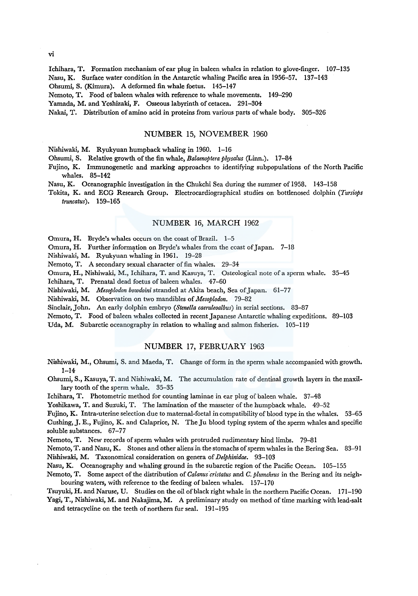Ichihara, T. Formation mechanism of ear plug in baleen whales in relation to glove-finger. 107-135 Nasu, K. Surface water condition in the Antarctic whaling Pacific area in 1956-57. 137-143

Ohsumi, S. (Kimura). A deformed fin whale foetus. 145-147

Nemoto, T. Food of baleen whales with reference to whale movements. 149-290

Yamada, M. and Yoshizaki, F. Osseous labyrinth of cetacea. 291-304

Nakai, T. Distribution of amino acid in proteins from various parts of whale body. 305-326

#### NUMBER 15, NOVEMBER 1960

Nishiwaki, M. Ryukyuan humpback whaling in 1960. 1-16

Ohsumi, S. Relative growth of the fin whale, *Balaerwptera physalus* (Linn.). 17-84

Fujino, K. Immunogenetic and marking approaches to identifying subpopulations of the North Pacific whales. 85-142

Nasu, K. Oceanographic investigation in the Chukchi Sea during the summer of 1958. 143-158

Tokita, K. and ECG Research Group. Electrocardiographical studies on bottlenosed dolphin *(Tursiops truncatus).* 159-165

## NUMBER 16, MARCH 1962

Omura, H. Bryde's whales occurs on the coast of Brazil. 1-5

Omura, H. Further information on Bryde's whales from the coast of Japan. 7-18

Nishiwaki, M. Ryukyuan whaling in 1961. 19-28

Nemoto, T. A secondary sexual character of fin whales. 29-34

Omura, H., Nishiwaki, M., Ichihara, T. and Kasuya, T. Osteological note of a sperm whale. 35-45

Ichihara, T. Prenatal dead foetus of baleen whales. 47-60

Nishiwaki, M. *Mesoplodon bowdoini* stranded at Akita beach, Sea of Japan. 61-77

Nishiwaki, M. Observation on two mandibles of *Mesoplodon.* 79-82

Sinclair, John. An early dolphin embryo (Stenella caeruleoalbus) in serial sections. 83-87

Nemoto, T. Food of baleen whales collected in recent Japanese Antarctic whaling expeditions. 89-103

Uda, M. Subarctic oceanography in relation to whaling and salmon fisheries. 105-119

# NUMBER 17, FEBRUARY 1963

Nishiwaki, M., Ohsumi, S. and Maeda, T. Change of form in the sperm whale accompanied with growth. 1-14

Ohsumi, S., Kasuya, T. and Nishiwaki, M. The accumulation rate of dentinal growth layers in the maxillary tooth of the sperm whale. 35-35

Ichihara, T. Photometric method for counting laminae in ear plug of baleen whale. 37-48

Yoshikawa, T. and Suzuki, T. The lamination of the masseter of the humpback whale. 49-52

Fujino, K. Intra-uterine selection due to maternal-foetal in compatibility of blood type in the whales. 53-65 Cushing, J. E., Fujino, K. and Calaprice, N. The Ju blood typing system of the sperm whales and specific soluble substances. 67-77

Nemoto, T. New records of sperm whales with protruded rudimentary hind limbs. 79-81

Nemoto, T. and Nasu, K. Stones and other aliens in the stomachs of sperm whales in the Bering Sea. 83-91 Nishiwaki, M. Taxonomical consideration on genera of *Delphinidae.* 93-103

Nasu, K. Oceanography and whaling ground in the subarctic region of the Pacific Ocean. 105-155

Nemoto, T. Some aspect of the distribution of *Calanus cristatus* and *C. plumchrus* in the Bering and its neighbouring waters, with reference to the feeding of baleen whales. 157-170

Tsuyuki, H. and Naruse, U. Studies on the oil of black right whale in the northern Pacific Ocean. 171-190 Yagi, T., Nishiwaki, M. and Nakajima, M. A preliminary study on method of time marking with lead-salt and tetracycline on the teeth of northern fur seal. 191-195

vi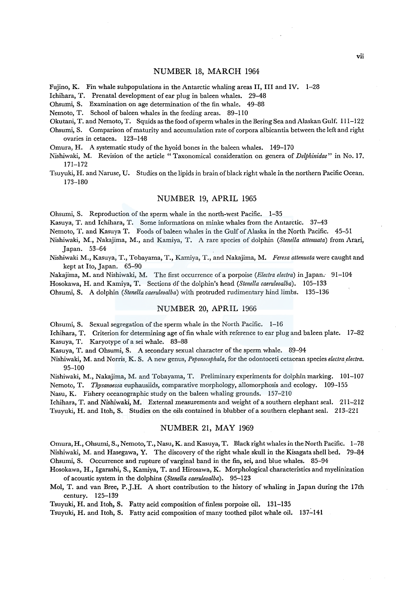### NUMBER 18, MARCH 1964

Fujino, K. Fin whale subpopulations in the Antarctic whaling areas II, III and IV. 1-28

Ichihara, T. Prenatal development of ear plug in baleen whales. 29-48

Ohsumi, S. Examination on age determination of the fin whale. 49-88

Nemoto, T. School of baleen whales in the feeding areas. 89-110

Okutani, T. and Nemoto, T. Squids as the food of sperm whales in the Bering Sea and Alaskan Gulf. 111-122

Ohsumi, S. Comparison of maturity and accumulation rate of corpora albicantia between the left and right ovaries in cetacea. 123-148

Omura, H. A systematic study of the hyoid bones in the baleen whales. 149-170

Nishiwaki, M. Revision of the article "Taxonomical consideration on genera of *Delphinidae"* in No. 17. 171-172

Tsuyuki, H. and Naruse, U. Studies on the lipids in brain of black right whale in the northern Pacific Ocean. 173-180

#### NUMBER 19, APRIL 1965

Ohsumi, S. Reproduction of the sperm whale in the north-west Pacific. 1-35

Kasuya, T. and Ichihara, T. Some informations on minke whales from the Antarctic. 37-43

Nemoto, T. and Kasuya T. Foods of baleen whales in the Gulf of Alaska in the North Pacific. 45-51

- Nishiwaki, M., Nakajima, M., and Kamiya, T. A rare species of dolphin *(Stene/la attenuata)* from Arari, Japan. 53-64
- Nishiwaki M., Kasuya, T., Tobayama, T., Kamiya, T., and Nakajima, M. *Feresa attenuata* were caught and kept at Ito, Japan. 65-90

Nakajima, M. and Nishiwaki, M. The first occurrence ofa porpoise *(Electra electra)* in Japan.- 91-104

Hosokawa, H. and Kamiya, T. Sections dfthe dolphin's head *(Stene/la caeruleoalba).* 105-133

Ohsumi, S. A dolphin *(Stene/la caeruleoalba)* with protruded rudimentary hind limbs. 135-136

## NUMBER 20, APRIL 1966

Ohsumi, S. Sexual segregation of the sperm whale in the North Pacific. 1-16

Ichihara, T. Criterion for determining age of fin whale with reference to ear plug and baleen plate. 17-82

Kasuya, T. Karyotype of a sei whale. 83-88

Kasuya, T. and Ohsumi, S. A secondary sexual character of the sperm whale. 89-94

Nishiwaki, M. and Norris, K. S. A new genus, *Peponocephala*, for the odontoceti cetacean species electra electra. 95-100

Nishiwaki, M., Nakajima, M. and Tobayama, T. Preliminary experiments for dolphin marking. 101-107

Nemoto, T. *Thysanoessa* euphausiids, comparative morphology, allomorphosis and ecology. 109-155

Nasu, K. Fishery oceanographic study on the baleen whaling grounds. 157-210

Ichihara, T. and Nishiwaki, M. External measurements and weight of a southern elephant seal. 211-212 Tsuyuki, H. and Itoh, S. Studies on the oils contained in blubber of a southern elephant seal. 213-221

#### NUMBER 21, MAY 1969

Omura, H., Ohsumi, S., Nemoto, T., Nasu, K. and Kasuya, T. Black right whales in the North Pacific. 1-78 Nishiwaki, M. and Hasegawa, Y. The discovery of the right whale skull in the Kisagata shell bed. 79-84 Ohsumi, S. Occurrence and rupture of varginal band in the fin, sei, and blue whales. 85-94

Hosokawa, H., Igarashi; S., Kamiya, T. and Hirosawa, K. Morphological characteristics and myelinization of acoustic system in the dolphins *(Stene/la caeruleoalba).* 95-123

Mol, T. and van Bree, P.J.H. A short contribution to the history of whaling in Japan during the 17th century. 125-139

Tsuyuki, H. and Itoh, S. Fatty acid composition of finless porpoise oil. 131-135

Tsuyuki, H. and Itoh, S. Fatty acid composition of many toothed pilot whale oil. 137-141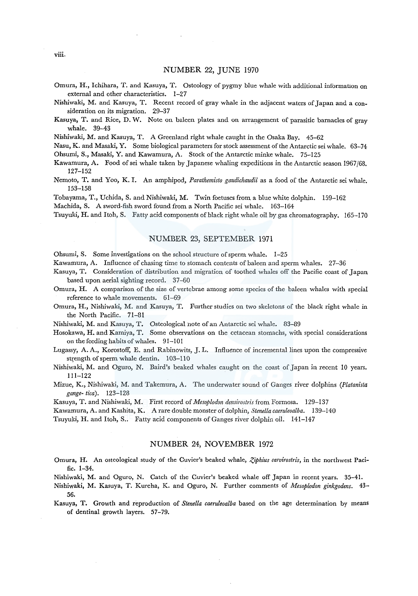### NUMBER 22, JUNE 1970

- Omura, H., Ichihara, T. and Kasuya, T. Osteology of pygmy blue whale with additional information on external and other characteristics. 1-27
- Nishiwaki, M. and Kasuya, T. Recent record of gray whale in the adjacent waters of Japan and a consideration on its migration. 29-37
- Kasuya, T. and Rice, D. W. Note on baleen plates and on arrangement of parasitic barnacles of gray whale. 39-43
- Nishiwaki, M. and Kasuya, T. A Greenland right whale caught in the Osaka Bay. 45-62

Nasu, K. and Masaki, Y. Some biological parameters for stock assessment of the Antarctic sei whale. 63-74 Ohsumi, S., Masaki, Y. and Kawamura, A. Stock of the Antarctic minke whale. 75-125

- Kawamura, A. Food ofsei whale taken by Japanese whaling expeditions in the Antarctic season 1967/68. 127-152
- Nemoto, T. and Yoo, K. I. An amphipod, *Parathemisto gaudichaudii* as a food of the Antarctic sei whale. 153-158

Tobayama, T., Uchida, S. and Nishiwaki, M. Twin foetuses from a blue white dolphin. 159-162

Machida, S. A sword-fish sword found from a North Pacific sei whale. 163-164

Tsuyuki, H. and Itoh, S. Fatty acid components of black right whale oil by gas chromatography. 165-170

# NUMBER 23, SEPTEMBER 1971

Ohsumi, S. Some investigations on the school structure of sperm whale. 1-25

Kawamura, A. Influence of chasing time to stomach contents of baleen and sperm whales. 27-36

- Kasuya, T. Consideration of distribution and migration of toothed whales off the Pacific coast of Japan based upon aerial sighting record. 37-60
- Omura, H. A comparison of the size of vertebrae among some species of the baleen whales with special reference to whale movements. 61-69
- Omura, H., Nishiwaki, M. and Kasuya, T. Further studies on two skeletons of the black right whale in the North Pacific. 71-81
- Nishiwaki, M. and Kasuya, T. Osteological note of an Antarctic sei whale. 83-89
- Hosokawa, H. and Kamiya, T. Some observations on the cetacean stomachs, with special considerations on thefeeding habits of whales. 91-101
- Lugassy, A. A., Korostoff, E. and Rabinowits, J. L. Influence of incremental lines upon the compressive strength of sperm whale dentin. 103-110
- Nishiwaki, M. and Oguro, N. Baird's beaked whales caught on the coast of Japan in recent 10 years. 111-122
- Mizue, K., Nishiwaki, M. and Takemura, A. The underwater sound of Ganges river dolphins *(Platanista gange- tica).* 123-128

Kasuya, T. and Nishiwaki, M. First record of *Mesoplodon densirostris* from Formosa. 129-137

Kawamura, A. and Kashita, K. A rare double monster of dolphin, *Stenella caeruleoalba.* 139-140

Tsuyuki, H. and Itoh, S.. Fatty acid components of Ganges river dolphin oil. 141-147

# NUMBER 24, NOVEMBER 1972

Omura, H. An osteological study of the Cuvier's beaked whale, *Z,iphius carvirostris,* in the northwest Pacific. 1-34.

Nishiwaki, M. and Oguro, N. Catch of the Cuvier's beaked whale off Japan in recent years. 35-41.

- Nishiwaki, M. Kasuya, T. Kureha, K. and Oguro, N. Further comments of *Mesoplodon ginkgodens.* 43- 56.
- Kasuya, T. Growth and reproduction of *Stenella caeruleoalba* based on the age determination by means of dentinal growth layers. 57-79.

viii.